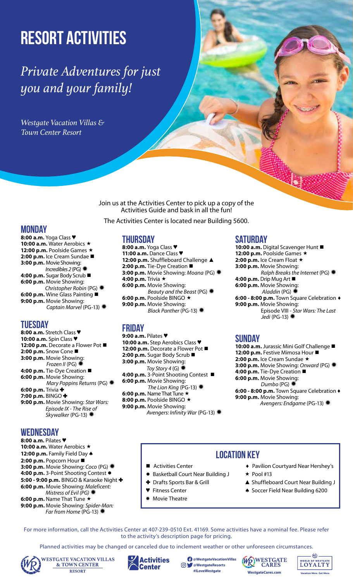# **Resort Activities**

# *Private Adventures for just you and your family!*

*Westgate Vacation Villas & Town Center Resort*

> Join us at the Activities Center to pick up a copy of the Activities Guide and bask in all the fun!

The Activities Center is located near Building 5600.

# **Monday**

**8:00 a.m.** Yoga Class ♥ 10:00 a.m. Water Aerobics \* **12:00 p.m.** Poolside Games ★ **2:00 p.m.** Ice Cream Sundae **3:00 p.m.** Movie Showing: *Incredibles 2* (PG) ✹ **4:00 p.m.** Sugar Body Scrub **6:00 p.m.** Movie Showing: *Christopher Robin* (PG) ✹ **6:00 p.m.** Wine Glass Painting **9:00 p.m.** Movie Showing: *Captain Marvel* (PG-13) ✹

# **Tuesday**

**8:00 a.m.** Stretch Class ♥ **10:00 a.m.** Spin Class ♥ **12:00 p.m.** Decorate a Flower Pot ■ **2:00 p.m.** Snow Cone ■ **3:00 p.m.** Movie Showing: *Frozen II* (PG) ✹ **4:00 p.m.** Tie-Dye Creation ■ **6:00 p.m.** Movie Showing: *Mary Poppins Returns* (PG) ✹ **6:00 p.m.** Trivia ✚ **7:00 p.m.** BINGO ✚ **9:00 p.m.** Movie Showing: *Star Wars: Episode IX - The Rise of Skywalker* (PG-13) ✹

# **Wednesday**

**8:00 a.m.** Pilates ♥ 10:00 a.m. Water Aerobics \* **12:00 p.m.** Family Field Day ♦ **2:00 p.m.** Popcorn Hour ■ **3:00 p.m.** Movie Showing: *Coco* (PG) ✹ **4:00 p.m.** 3-Point Shooting Contest ● **5:00 - 9:00 p.m.** BINGO & Karaoke Night ✚ **6:00 p.m.** Movie Showing: *Maleficent: Mistress of Evil (PG)* ✹ **6:00 p.m.** Name That Tune ★ **9:00 p.m.** Movie Showing: *Spider-Man: Far from Home* (PG-13) ✹

# **Thursday**

**8:00 a.m.** Yoga Class ♥ **11:00 a.m.** Dance Class ♥ **12:00 p.m.** Shuffleboard Challenge ▲ **2:00 p.m.** Tie-Dye Creation **3:00 p.m.** Movie Showing: *Moana* (PG) ✹ **4:00 p.m.** Trivia « **6:00 p.m.** Movie Showing: *Beauty and the Beast* (PG) ✹ **6:00 p.m.** Poolside BINGO ★ **9:00 p.m.** Movie Showing: *Black Panther* (PG-13) ✹

# **Friday**

**9:00 a.m.** Pilates ♥ **10:00 a.m.** Step Aerobics Class ♥ **12:00 p.m.** Decorate a Flower Pot ■ 2:00 p.m. Sugar Body Scrub ■ **3:00 p.m.** Movie Showing: *Toy Story 4* (G)✹ **4:00 p.m.** 3-Point Shooting Contest ■ **6:00 p.m.** Movie Showing: *The Lion King* (PG-13) ✹ 6:00 p.m. Name That Tune \* **8:00 p.m.** Poolside BINGO ★ **9:00 p.m.** Movie Showing: *Avengers: Infinity War* (PG-13) ✹

# **Saturday**

**10:00 a.m.** Digital Scavenger Hunt 12:00 p.m. Poolside Games \* 2:00 p.m. Ice Cream Float \* **3:00 p.m.** Movie Showing: *Ralph Breaks the Internet* (PG)✹ **4:00 p.m.** Drip Mug Art **6:00 p.m.** Movie Showing: *Aladdin* (PG)✹ **6:00 - 8:00 p.m.** Town Square Celebration ♦ **9:00 p.m.** Movie Showing: Episode VIII - *Star Wars: The Last Jedi* (PG-13)✹

# **Sunday**

**10:00 a.m.** Jurassic Mini Golf Challenge **12:00 p.m.** Festive Mimosa Hour ■ 2:00 p.m. Ice Cream Sundae \* **3:00 p.m.** Movie Showing: *Onward* (PG) ✹ **4:00 p.m.** Tie-Dye Creation ■ **6:00 p.m.** Movie Showing: *Dumbo* (PG) ✹ **6:00 - 8:00 p.m.** Town Square Celebration ♦ **9:00 p.m.** Movie Showing:  *Avengers: Endgame* (PG-13) ✹

# **location key**

- Activities Center
- **Basketball Court Near Building J**
- ✚ Drafts Sports Bar & Grill
- **Fitness Center**
- Movie Theatre
- ♦ Pavilion Courtyard Near Hershey's
- $\star$  Pool #13
- ▲ Shuffleboard Court Near Building J

**Vacation More. Get More.**

HQ.

WORLD OF WESTGATE

♠ Soccer Field Near Building 6200

For more information, call the Activities Center at 407-239-0510 Ext. 41169. Some activities have a nominal fee. Please refer to the activity's description page for pricing.

Planned activities may be changed or canceled due to inclement weather or other unforeseen circumstances.



**VESTGATE VACATION VILLAS & TOWN CENTER RESORT** 



**@WestgateVacationVillas @WestgateResorts**